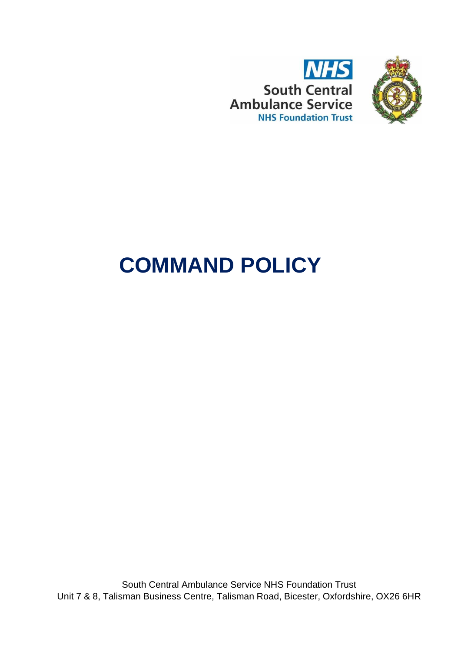



# **COMMAND POLICY**

South Central Ambulance Service NHS Foundation Trust Unit 7 & 8, Talisman Business Centre, Talisman Road, Bicester, Oxfordshire, OX26 6HR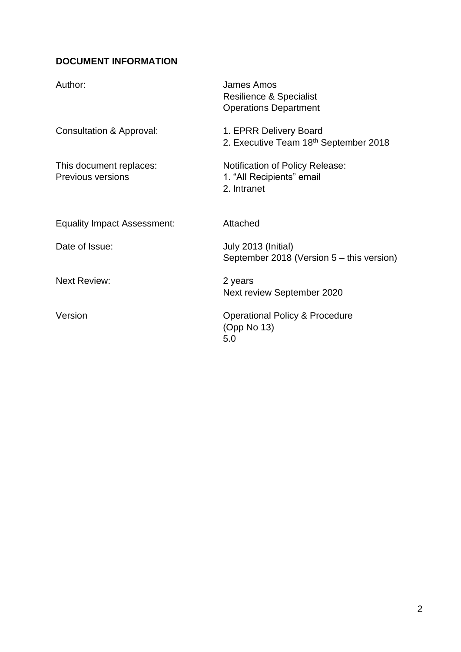# <span id="page-1-0"></span>**DOCUMENT INFORMATION**

| Author:                                             | James Amos<br><b>Resilience &amp; Specialist</b><br><b>Operations Department</b>   |
|-----------------------------------------------------|------------------------------------------------------------------------------------|
| Consultation & Approval:                            | 1. EPRR Delivery Board<br>2. Executive Team 18th September 2018                    |
| This document replaces:<br><b>Previous versions</b> | <b>Notification of Policy Release:</b><br>1. "All Recipients" email<br>2. Intranet |
| <b>Equality Impact Assessment:</b>                  | Attached                                                                           |
| Date of Issue:                                      | July 2013 (Initial)<br>September 2018 (Version 5 – this version)                   |
| <b>Next Review:</b>                                 | 2 years<br>Next review September 2020                                              |
| Version                                             | <b>Operational Policy &amp; Procedure</b><br>(Opp No 13)<br>5.0                    |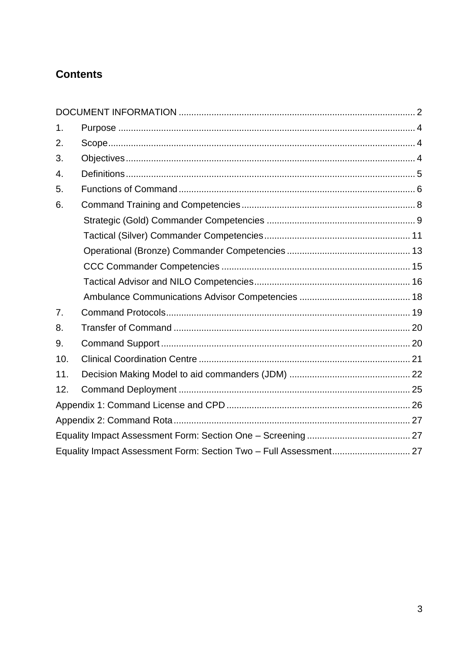# **Contents**

| 1.               |                                                                   |  |
|------------------|-------------------------------------------------------------------|--|
| 2.               |                                                                   |  |
| 3.               |                                                                   |  |
| 4.               |                                                                   |  |
| 5.               |                                                                   |  |
| 6.               |                                                                   |  |
|                  |                                                                   |  |
|                  |                                                                   |  |
|                  |                                                                   |  |
|                  |                                                                   |  |
|                  |                                                                   |  |
|                  |                                                                   |  |
| $\overline{7}$ . |                                                                   |  |
| 8.               |                                                                   |  |
| 9.               |                                                                   |  |
| 10.              |                                                                   |  |
| 11.              |                                                                   |  |
| 12.              |                                                                   |  |
|                  |                                                                   |  |
|                  |                                                                   |  |
|                  |                                                                   |  |
|                  | Equality Impact Assessment Form: Section Two - Full Assessment 27 |  |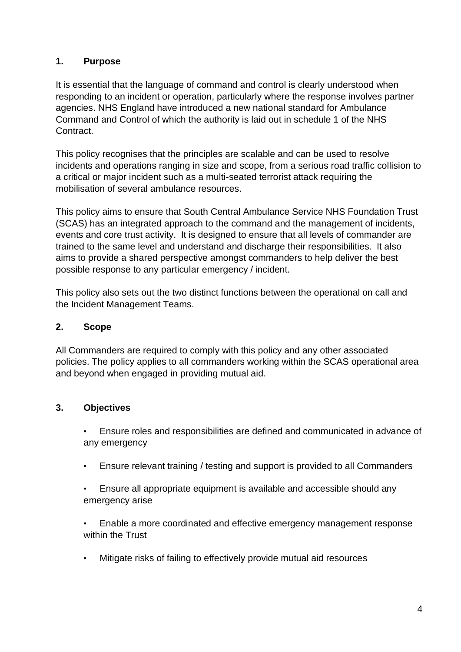## <span id="page-3-0"></span>**1. Purpose**

It is essential that the language of command and control is clearly understood when responding to an incident or operation, particularly where the response involves partner agencies. NHS England have introduced a new national standard for Ambulance Command and Control of which the authority is laid out in schedule 1 of the NHS Contract.

This policy recognises that the principles are scalable and can be used to resolve incidents and operations ranging in size and scope, from a serious road traffic collision to a critical or major incident such as a multi-seated terrorist attack requiring the mobilisation of several ambulance resources.

This policy aims to ensure that South Central Ambulance Service NHS Foundation Trust (SCAS) has an integrated approach to the command and the management of incidents, events and core trust activity. It is designed to ensure that all levels of commander are trained to the same level and understand and discharge their responsibilities. It also aims to provide a shared perspective amongst commanders to help deliver the best possible response to any particular emergency / incident.

This policy also sets out the two distinct functions between the operational on call and the Incident Management Teams.

## <span id="page-3-1"></span>**2. Scope**

All Commanders are required to comply with this policy and any other associated policies. The policy applies to all commanders working within the SCAS operational area and beyond when engaged in providing mutual aid.

## <span id="page-3-2"></span>**3. Objectives**

• Ensure roles and responsibilities are defined and communicated in advance of any emergency

- Ensure relevant training / testing and support is provided to all Commanders
- Ensure all appropriate equipment is available and accessible should any emergency arise

• Enable a more coordinated and effective emergency management response within the Trust

• Mitigate risks of failing to effectively provide mutual aid resources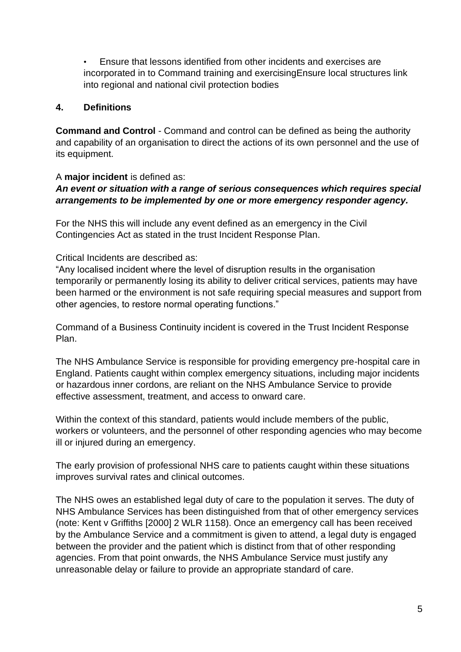• Ensure that lessons identified from other incidents and exercises are incorporated in to Command training and exercisingEnsure local structures link into regional and national civil protection bodies

#### <span id="page-4-0"></span>**4. Definitions**

**Command and Control** - Command and control can be defined as being the authority and capability of an organisation to direct the actions of its own personnel and the use of its equipment.

A **major incident** is defined as:

## *An event or situation with a range of serious consequences which requires special arrangements to be implemented by one or more emergency responder agency.*

For the NHS this will include any event defined as an emergency in the Civil Contingencies Act as stated in the trust Incident Response Plan.

Critical Incidents are described as:

"Any localised incident where the level of disruption results in the organisation temporarily or permanently losing its ability to deliver critical services, patients may have been harmed or the environment is not safe requiring special measures and support from other agencies, to restore normal operating functions."

Command of a Business Continuity incident is covered in the Trust Incident Response Plan.

The NHS Ambulance Service is responsible for providing emergency pre-hospital care in England. Patients caught within complex emergency situations, including major incidents or hazardous inner cordons, are reliant on the NHS Ambulance Service to provide effective assessment, treatment, and access to onward care.

Within the context of this standard, patients would include members of the public, workers or volunteers, and the personnel of other responding agencies who may become ill or injured during an emergency.

The early provision of professional NHS care to patients caught within these situations improves survival rates and clinical outcomes.

The NHS owes an established legal duty of care to the population it serves. The duty of NHS Ambulance Services has been distinguished from that of other emergency services (note: Kent v Griffiths [2000] 2 WLR 1158). Once an emergency call has been received by the Ambulance Service and a commitment is given to attend, a legal duty is engaged between the provider and the patient which is distinct from that of other responding agencies. From that point onwards, the NHS Ambulance Service must justify any unreasonable delay or failure to provide an appropriate standard of care.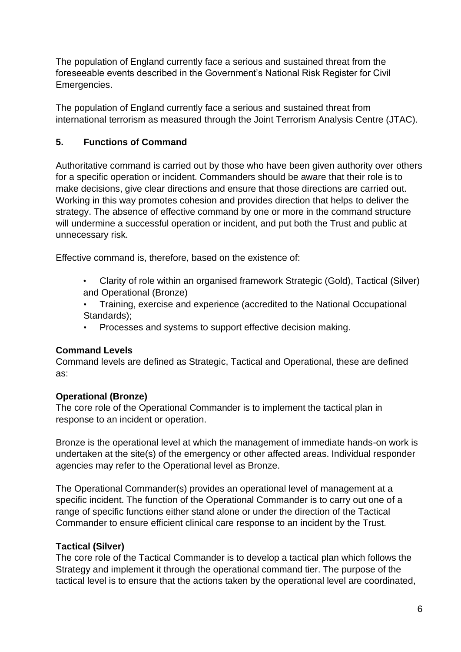The population of England currently face a serious and sustained threat from the foreseeable events described in the Government's National Risk Register for Civil Emergencies.

The population of England currently face a serious and sustained threat from international terrorism as measured through the Joint Terrorism Analysis Centre (JTAC).

## <span id="page-5-0"></span>**5. Functions of Command**

Authoritative command is carried out by those who have been given authority over others for a specific operation or incident. Commanders should be aware that their role is to make decisions, give clear directions and ensure that those directions are carried out. Working in this way promotes cohesion and provides direction that helps to deliver the strategy. The absence of effective command by one or more in the command structure will undermine a successful operation or incident, and put both the Trust and public at unnecessary risk.

Effective command is, therefore, based on the existence of:

- Clarity of role within an organised framework Strategic (Gold), Tactical (Silver) and Operational (Bronze)
- Training, exercise and experience (accredited to the National Occupational Standards);
- Processes and systems to support effective decision making.

## **Command Levels**

Command levels are defined as Strategic, Tactical and Operational, these are defined as:

## **Operational (Bronze)**

The core role of the Operational Commander is to implement the tactical plan in response to an incident or operation.

Bronze is the operational level at which the management of immediate hands-on work is undertaken at the site(s) of the emergency or other affected areas. Individual responder agencies may refer to the Operational level as Bronze.

The Operational Commander(s) provides an operational level of management at a specific incident. The function of the Operational Commander is to carry out one of a range of specific functions either stand alone or under the direction of the Tactical Commander to ensure efficient clinical care response to an incident by the Trust.

## **Tactical (Silver)**

The core role of the Tactical Commander is to develop a tactical plan which follows the Strategy and implement it through the operational command tier. The purpose of the tactical level is to ensure that the actions taken by the operational level are coordinated,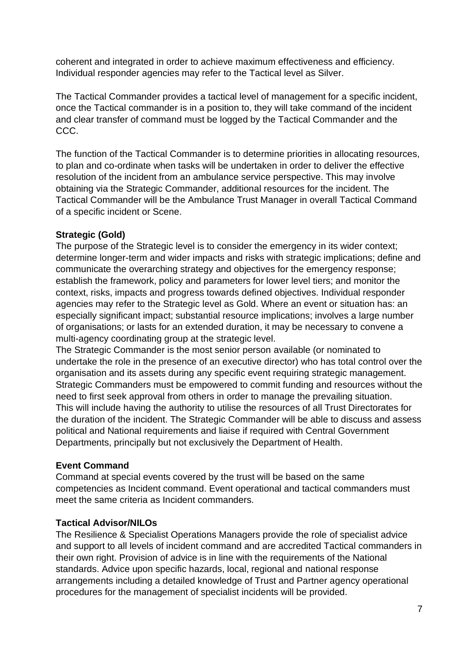coherent and integrated in order to achieve maximum effectiveness and efficiency. Individual responder agencies may refer to the Tactical level as Silver.

The Tactical Commander provides a tactical level of management for a specific incident, once the Tactical commander is in a position to, they will take command of the incident and clear transfer of command must be logged by the Tactical Commander and the CCC.

The function of the Tactical Commander is to determine priorities in allocating resources, to plan and co-ordinate when tasks will be undertaken in order to deliver the effective resolution of the incident from an ambulance service perspective. This may involve obtaining via the Strategic Commander, additional resources for the incident. The Tactical Commander will be the Ambulance Trust Manager in overall Tactical Command of a specific incident or Scene.

#### **Strategic (Gold)**

The purpose of the Strategic level is to consider the emergency in its wider context; determine longer-term and wider impacts and risks with strategic implications; define and communicate the overarching strategy and objectives for the emergency response; establish the framework, policy and parameters for lower level tiers; and monitor the context, risks, impacts and progress towards defined objectives. Individual responder agencies may refer to the Strategic level as Gold. Where an event or situation has: an especially significant impact; substantial resource implications; involves a large number of organisations; or lasts for an extended duration, it may be necessary to convene a multi-agency coordinating group at the strategic level.

The Strategic Commander is the most senior person available (or nominated to undertake the role in the presence of an executive director) who has total control over the organisation and its assets during any specific event requiring strategic management. Strategic Commanders must be empowered to commit funding and resources without the need to first seek approval from others in order to manage the prevailing situation. This will include having the authority to utilise the resources of all Trust Directorates for the duration of the incident. The Strategic Commander will be able to discuss and assess political and National requirements and liaise if required with Central Government Departments, principally but not exclusively the Department of Health.

## **Event Command**

Command at special events covered by the trust will be based on the same competencies as Incident command. Event operational and tactical commanders must meet the same criteria as Incident commanders.

## **Tactical Advisor/NILOs**

The Resilience & Specialist Operations Managers provide the role of specialist advice and support to all levels of incident command and are accredited Tactical commanders in their own right. Provision of advice is in line with the requirements of the National standards. Advice upon specific hazards, local, regional and national response arrangements including a detailed knowledge of Trust and Partner agency operational procedures for the management of specialist incidents will be provided.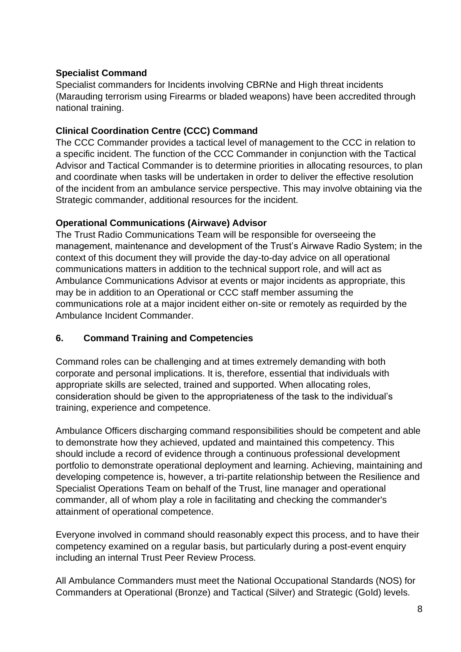## **Specialist Command**

Specialist commanders for Incidents involving CBRNe and High threat incidents (Marauding terrorism using Firearms or bladed weapons) have been accredited through national training.

## **Clinical Coordination Centre (CCC) Command**

The CCC Commander provides a tactical level of management to the CCC in relation to a specific incident. The function of the CCC Commander in conjunction with the Tactical Advisor and Tactical Commander is to determine priorities in allocating resources, to plan and coordinate when tasks will be undertaken in order to deliver the effective resolution of the incident from an ambulance service perspective. This may involve obtaining via the Strategic commander, additional resources for the incident.

## **Operational Communications (Airwave) Advisor**

The Trust Radio Communications Team will be responsible for overseeing the management, maintenance and development of the Trust's Airwave Radio System; in the context of this document they will provide the day-to-day advice on all operational communications matters in addition to the technical support role, and will act as Ambulance Communications Advisor at events or major incidents as appropriate, this may be in addition to an Operational or CCC staff member assuming the communications role at a major incident either on-site or remotely as requirded by the Ambulance Incident Commander.

## <span id="page-7-0"></span>**6. Command Training and Competencies**

Command roles can be challenging and at times extremely demanding with both corporate and personal implications. It is, therefore, essential that individuals with appropriate skills are selected, trained and supported. When allocating roles, consideration should be given to the appropriateness of the task to the individual's training, experience and competence.

Ambulance Officers discharging command responsibilities should be competent and able to demonstrate how they achieved, updated and maintained this competency. This should include a record of evidence through a continuous professional development portfolio to demonstrate operational deployment and learning. Achieving, maintaining and developing competence is, however, a tri-partite relationship between the Resilience and Specialist Operations Team on behalf of the Trust, line manager and operational commander, all of whom play a role in facilitating and checking the commander's attainment of operational competence.

Everyone involved in command should reasonably expect this process, and to have their competency examined on a regular basis, but particularly during a post-event enquiry including an internal Trust Peer Review Process.

All Ambulance Commanders must meet the National Occupational Standards (NOS) for Commanders at Operational (Bronze) and Tactical (Silver) and Strategic (Gold) levels.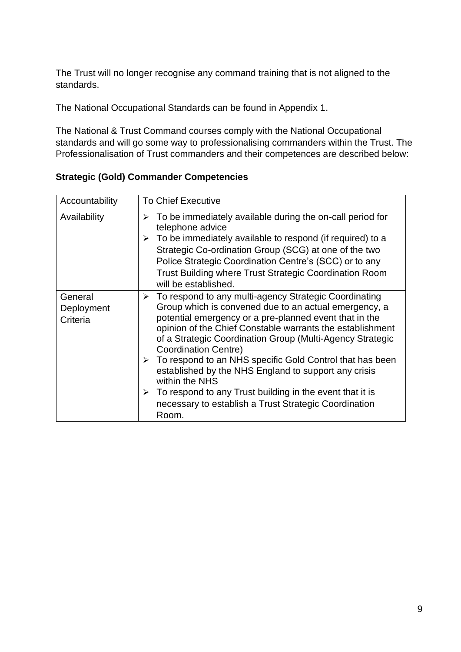The Trust will no longer recognise any command training that is not aligned to the standards.

The National Occupational Standards can be found in Appendix 1.

The National & Trust Command courses comply with the National Occupational standards and will go some way to professionalising commanders within the Trust. The Professionalisation of Trust commanders and their competences are described below:

| Accountability                    | <b>To Chief Executive</b>                                                                                                                                                                                                                                                                                                                                                                                                                                                                                                                                                                                                                                |
|-----------------------------------|----------------------------------------------------------------------------------------------------------------------------------------------------------------------------------------------------------------------------------------------------------------------------------------------------------------------------------------------------------------------------------------------------------------------------------------------------------------------------------------------------------------------------------------------------------------------------------------------------------------------------------------------------------|
| Availability                      | $\triangleright$ To be immediately available during the on-call period for<br>telephone advice<br>$\triangleright$ To be immediately available to respond (if required) to a<br>Strategic Co-ordination Group (SCG) at one of the two<br>Police Strategic Coordination Centre's (SCC) or to any<br><b>Trust Building where Trust Strategic Coordination Room</b><br>will be established.                                                                                                                                                                                                                                                                 |
| General<br>Deployment<br>Criteria | $\triangleright$ To respond to any multi-agency Strategic Coordinating<br>Group which is convened due to an actual emergency, a<br>potential emergency or a pre-planned event that in the<br>opinion of the Chief Constable warrants the establishment<br>of a Strategic Coordination Group (Multi-Agency Strategic<br><b>Coordination Centre)</b><br>$\triangleright$ To respond to an NHS specific Gold Control that has been<br>established by the NHS England to support any crisis<br>within the NHS<br>$\triangleright$ To respond to any Trust building in the event that it is<br>necessary to establish a Trust Strategic Coordination<br>Room. |

<span id="page-8-0"></span>**Strategic (Gold) Commander Competencies**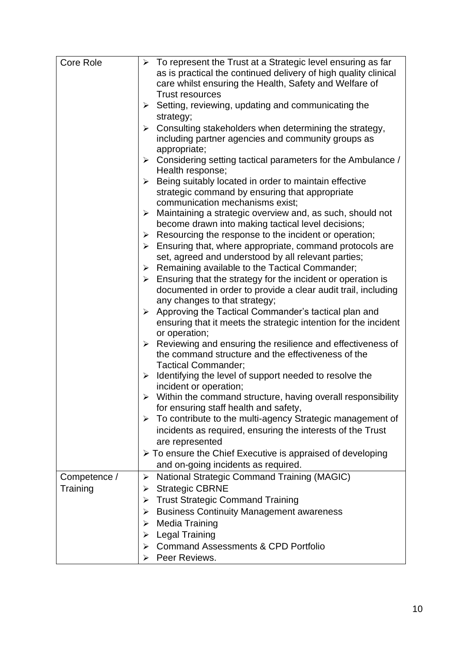| <b>Core Role</b> | $\triangleright$ To represent the Trust at a Strategic level ensuring as far                                        |
|------------------|---------------------------------------------------------------------------------------------------------------------|
|                  | as is practical the continued delivery of high quality clinical                                                     |
|                  | care whilst ensuring the Health, Safety and Welfare of                                                              |
|                  | <b>Trust resources</b>                                                                                              |
|                  | Setting, reviewing, updating and communicating the<br>➤                                                             |
|                  | strategy;                                                                                                           |
|                  | > Consulting stakeholders when determining the strategy,                                                            |
|                  | including partner agencies and community groups as                                                                  |
|                  | appropriate;                                                                                                        |
|                  | $\triangleright$ Considering setting tactical parameters for the Ambulance /                                        |
|                  | Health response;                                                                                                    |
|                  | Being suitably located in order to maintain effective<br>≻                                                          |
|                  | strategic command by ensuring that appropriate                                                                      |
|                  | communication mechanisms exist;                                                                                     |
|                  | $\triangleright$ Maintaining a strategic overview and, as such, should not                                          |
|                  | become drawn into making tactical level decisions;                                                                  |
|                  | Resourcing the response to the incident or operation;<br>➤                                                          |
|                  | Ensuring that, where appropriate, command protocols are<br>≻<br>set, agreed and understood by all relevant parties; |
|                  | $\triangleright$ Remaining available to the Tactical Commander;                                                     |
|                  | $\triangleright$ Ensuring that the strategy for the incident or operation is                                        |
|                  | documented in order to provide a clear audit trail, including                                                       |
|                  | any changes to that strategy;                                                                                       |
|                  | Approving the Tactical Commander's tactical plan and<br>➤                                                           |
|                  | ensuring that it meets the strategic intention for the incident                                                     |
|                  | or operation;                                                                                                       |
|                  | $\triangleright$ Reviewing and ensuring the resilience and effectiveness of                                         |
|                  | the command structure and the effectiveness of the                                                                  |
|                  | <b>Tactical Commander;</b>                                                                                          |
|                  | Identifying the level of support needed to resolve the<br>➤                                                         |
|                  | incident or operation;                                                                                              |
|                  | $\triangleright$ Within the command structure, having overall responsibility                                        |
|                  | for ensuring staff health and safety,                                                                               |
|                  | To contribute to the multi-agency Strategic management of<br>➤                                                      |
|                  | incidents as required, ensuring the interests of the Trust                                                          |
|                  | are represented                                                                                                     |
|                  | $\triangleright$ To ensure the Chief Executive is appraised of developing<br>and on-going incidents as required.    |
|                  |                                                                                                                     |
| Competence /     | <b>National Strategic Command Training (MAGIC)</b><br>$\blacktriangleright$                                         |
| Training         | <b>Strategic CBRNE</b><br>➤                                                                                         |
|                  | <b>Trust Strategic Command Training</b><br>➤                                                                        |
|                  | <b>Business Continuity Management awareness</b><br>➤                                                                |
|                  | <b>Media Training</b><br>⋗                                                                                          |
|                  | <b>Legal Training</b><br>⋗                                                                                          |
|                  | <b>Command Assessments &amp; CPD Portfolio</b>                                                                      |
|                  | Peer Reviews.                                                                                                       |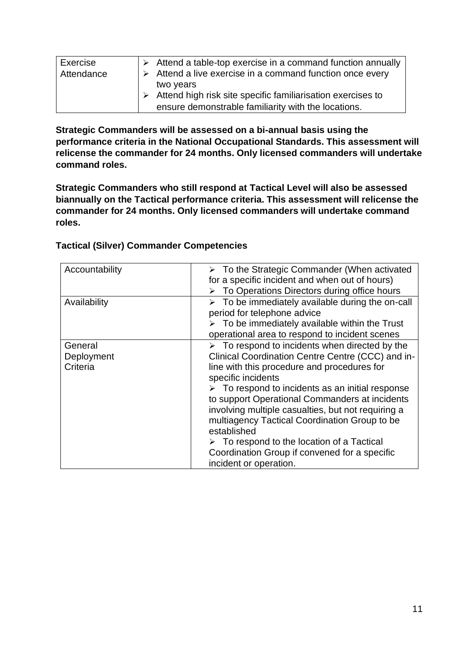| Exercise   | $\triangleright$ Attend a table-top exercise in a command function annually |
|------------|-----------------------------------------------------------------------------|
| Attendance | Attend a live exercise in a command function once every                     |
|            | two years                                                                   |
|            | Attend high risk site specific familiarisation exercises to                 |
|            | ensure demonstrable familiarity with the locations.                         |

**Strategic Commanders will be assessed on a bi-annual basis using the performance criteria in the National Occupational Standards. This assessment will relicense the commander for 24 months. Only licensed commanders will undertake command roles.** 

**Strategic Commanders who still respond at Tactical Level will also be assessed biannually on the Tactical performance criteria. This assessment will relicense the commander for 24 months. Only licensed commanders will undertake command roles.** 

| Accountability                    | $\triangleright$ To the Strategic Commander (When activated<br>for a specific incident and when out of hours)<br>To Operations Directors during office hours                                                                                                                                                                                                                                                                                                                                                                                                               |
|-----------------------------------|----------------------------------------------------------------------------------------------------------------------------------------------------------------------------------------------------------------------------------------------------------------------------------------------------------------------------------------------------------------------------------------------------------------------------------------------------------------------------------------------------------------------------------------------------------------------------|
| Availability                      | $\triangleright$ To be immediately available during the on-call<br>period for telephone advice<br>$\triangleright$ To be immediately available within the Trust<br>operational area to respond to incident scenes                                                                                                                                                                                                                                                                                                                                                          |
| General<br>Deployment<br>Criteria | $\triangleright$ To respond to incidents when directed by the<br>Clinical Coordination Centre Centre (CCC) and in-<br>line with this procedure and procedures for<br>specific incidents<br>$\triangleright$ To respond to incidents as an initial response<br>to support Operational Commanders at incidents<br>involving multiple casualties, but not requiring a<br>multiagency Tactical Coordination Group to be<br>established<br>$\triangleright$ To respond to the location of a Tactical<br>Coordination Group if convened for a specific<br>incident or operation. |

## <span id="page-10-0"></span>**Tactical (Silver) Commander Competencies**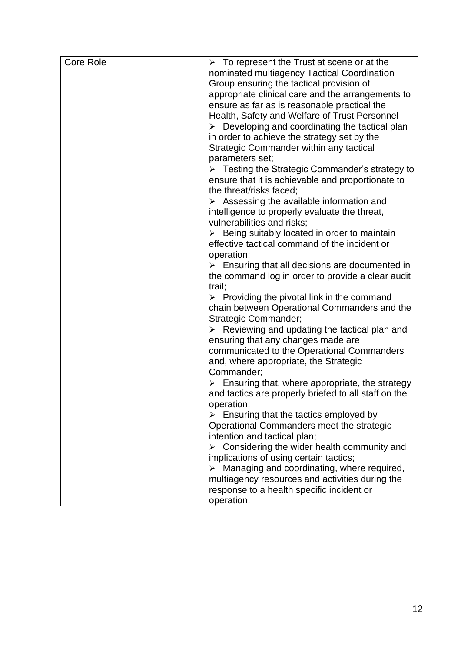| <b>Core Role</b> | $\triangleright$ To represent the Trust at scene or at the      |
|------------------|-----------------------------------------------------------------|
|                  | nominated multiagency Tactical Coordination                     |
|                  | Group ensuring the tactical provision of                        |
|                  | appropriate clinical care and the arrangements to               |
|                  | ensure as far as is reasonable practical the                    |
|                  | Health, Safety and Welfare of Trust Personnel                   |
|                  | $\triangleright$ Developing and coordinating the tactical plan  |
|                  | in order to achieve the strategy set by the                     |
|                  | Strategic Commander within any tactical                         |
|                  | parameters set;                                                 |
|                  | $\triangleright$ Testing the Strategic Commander's strategy to  |
|                  | ensure that it is achievable and proportionate to               |
|                  | the threat/risks faced;                                         |
|                  | $\triangleright$ Assessing the available information and        |
|                  | intelligence to properly evaluate the threat,                   |
|                  | vulnerabilities and risks;                                      |
|                  | $\triangleright$ Being suitably located in order to maintain    |
|                  | effective tactical command of the incident or                   |
|                  | operation;                                                      |
|                  | $\triangleright$ Ensuring that all decisions are documented in  |
|                  | the command log in order to provide a clear audit               |
|                  | trail;                                                          |
|                  | $\triangleright$ Providing the pivotal link in the command      |
|                  | chain between Operational Commanders and the                    |
|                  | Strategic Commander;                                            |
|                  | $\triangleright$ Reviewing and updating the tactical plan and   |
|                  | ensuring that any changes made are                              |
|                  | communicated to the Operational Commanders                      |
|                  | and, where appropriate, the Strategic                           |
|                  | Commander;                                                      |
|                  | $\triangleright$ Ensuring that, where appropriate, the strategy |
|                  | and tactics are properly briefed to all staff on the            |
|                  | operation;                                                      |
|                  | $\triangleright$ Ensuring that the tactics employed by          |
|                  | Operational Commanders meet the strategic                       |
|                  | intention and tactical plan;                                    |
|                  | Considering the wider health community and                      |
|                  | implications of using certain tactics;                          |
|                  | $\triangleright$ Managing and coordinating, where required,     |
|                  | multiagency resources and activities during the                 |
|                  | response to a health specific incident or                       |
|                  | operation;                                                      |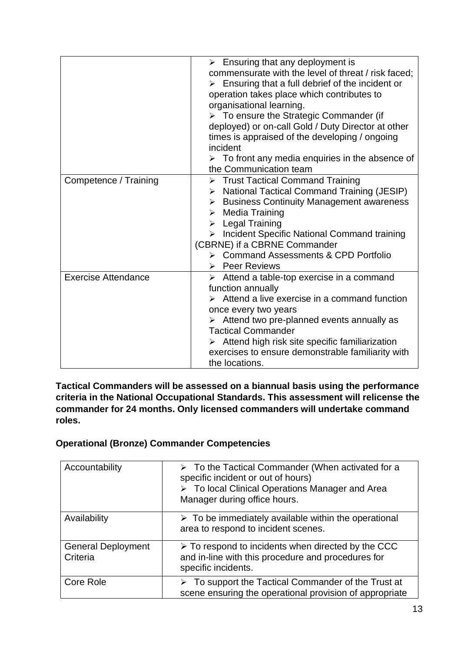|                            | $\triangleright$ Ensuring that any deployment is<br>commensurate with the level of threat / risk faced:<br>$\triangleright$ Ensuring that a full debrief of the incident or<br>operation takes place which contributes to<br>organisational learning.<br>$\triangleright$ To ensure the Strategic Commander (if<br>deployed) or on-call Gold / Duty Director at other<br>times is appraised of the developing / ongoing<br>incident<br>$\triangleright$ To front any media enquiries in the absence of<br>the Communication team |
|----------------------------|----------------------------------------------------------------------------------------------------------------------------------------------------------------------------------------------------------------------------------------------------------------------------------------------------------------------------------------------------------------------------------------------------------------------------------------------------------------------------------------------------------------------------------|
| Competence / Training      | > Trust Tactical Command Training<br><b>National Tactical Command Training (JESIP)</b><br>≻<br><b>Business Continuity Management awareness</b><br>≻<br><b>Media Training</b><br>$\blacktriangleright$<br>$\triangleright$ Legal Training<br>> Incident Specific National Command training<br>(CBRNE) if a CBRNE Commander<br>▶ Command Assessments & CPD Portfolio<br>> Peer Reviews                                                                                                                                             |
| <b>Exercise Attendance</b> | $\triangleright$ Attend a table-top exercise in a command<br>function annually<br>Attend a live exercise in a command function<br>once every two years<br>$\triangleright$ Attend two pre-planned events annually as<br><b>Tactical Commander</b><br>Attend high risk site specific familiarization<br>exercises to ensure demonstrable familiarity with<br>the locations.                                                                                                                                                       |

**Tactical Commanders will be assessed on a biannual basis using the performance criteria in the National Occupational Standards. This assessment will relicense the commander for 24 months. Only licensed commanders will undertake command roles.** 

## <span id="page-12-0"></span>**Operational (Bronze) Commander Competencies**

| Accountability                        | $\triangleright$ To the Tactical Commander (When activated for a<br>specific incident or out of hours)<br>> To local Clinical Operations Manager and Area<br>Manager during office hours. |
|---------------------------------------|-------------------------------------------------------------------------------------------------------------------------------------------------------------------------------------------|
| Availability                          | $\triangleright$ To be immediately available within the operational<br>area to respond to incident scenes.                                                                                |
| <b>General Deployment</b><br>Criteria | $\triangleright$ To respond to incidents when directed by the CCC<br>and in-line with this procedure and procedures for<br>specific incidents.                                            |
| Core Role                             | $\triangleright$ To support the Tactical Commander of the Trust at<br>scene ensuring the operational provision of appropriate                                                             |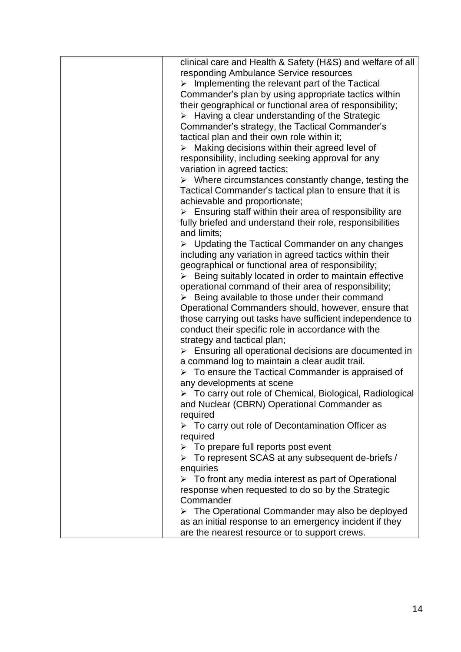| clinical care and Health & Safety (H&S) and welfare of all              |
|-------------------------------------------------------------------------|
| responding Ambulance Service resources                                  |
| $\triangleright$ Implementing the relevant part of the Tactical         |
| Commander's plan by using appropriate tactics within                    |
| their geographical or functional area of responsibility;                |
|                                                                         |
| $\triangleright$ Having a clear understanding of the Strategic          |
| Commander's strategy, the Tactical Commander's                          |
| tactical plan and their own role within it;                             |
| $\triangleright$ Making decisions within their agreed level of          |
| responsibility, including seeking approval for any                      |
| variation in agreed tactics;                                            |
| $\triangleright$ Where circumstances constantly change, testing the     |
| Tactical Commander's tactical plan to ensure that it is                 |
| achievable and proportionate;                                           |
| $\triangleright$ Ensuring staff within their area of responsibility are |
| fully briefed and understand their role, responsibilities               |
| and limits;                                                             |
| $\triangleright$ Updating the Tactical Commander on any changes         |
| including any variation in agreed tactics within their                  |
| geographical or functional area of responsibility;                      |
| $\triangleright$ Being suitably located in order to maintain effective  |
| operational command of their area of responsibility;                    |
| $\triangleright$ Being available to those under their command           |
| Operational Commanders should, however, ensure that                     |
| those carrying out tasks have sufficient independence to                |
| conduct their specific role in accordance with the                      |
| strategy and tactical plan;                                             |
| $\triangleright$ Ensuring all operational decisions are documented in   |
| a command log to maintain a clear audit trail.                          |
| $\triangleright$ To ensure the Tactical Commander is appraised of       |
| any developments at scene                                               |
| > To carry out role of Chemical, Biological, Radiological               |
| and Nuclear (CBRN) Operational Commander as                             |
| required                                                                |
| $\triangleright$ To carry out role of Decontamination Officer as        |
| required                                                                |
| $\triangleright$ To prepare full reports post event                     |
| $\triangleright$ To represent SCAS at any subsequent de-briefs /        |
| enquiries                                                               |
| $\triangleright$ To front any media interest as part of Operational     |
| response when requested to do so by the Strategic                       |
| Commander                                                               |
| $\triangleright$ The Operational Commander may also be deployed         |
| as an initial response to an emergency incident if they                 |
| are the nearest resource or to support crews.                           |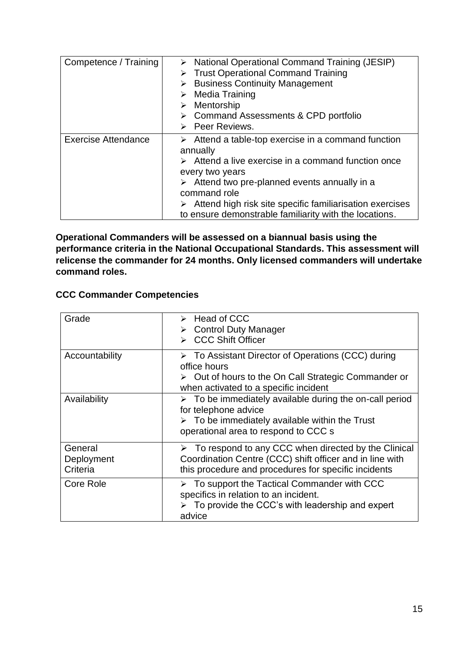| Competence / Training      | > National Operational Command Training (JESIP)<br>▶ Trust Operational Command Training<br>$\triangleright$ Business Continuity Management<br>$\triangleright$ Media Training<br>$\triangleright$ Mentorship<br>> Command Assessments & CPD portfolio<br>$\triangleright$ Peer Reviews.                                                                                                        |
|----------------------------|------------------------------------------------------------------------------------------------------------------------------------------------------------------------------------------------------------------------------------------------------------------------------------------------------------------------------------------------------------------------------------------------|
| <b>Exercise Attendance</b> | $\triangleright$ Attend a table-top exercise in a command function<br>annually<br>$\triangleright$ Attend a live exercise in a command function once<br>every two years<br>$\triangleright$ Attend two pre-planned events annually in a<br>command role<br>$\triangleright$ Attend high risk site specific familiarisation exercises<br>to ensure demonstrable familiarity with the locations. |

**Operational Commanders will be assessed on a biannual basis using the performance criteria in the National Occupational Standards. This assessment will relicense the commander for 24 months. Only licensed commanders will undertake command roles.** 

## <span id="page-14-0"></span>**CCC Commander Competencies**

| Grade                             | > Head of CCC<br>$\triangleright$ Control Duty Manager<br><b>CCC Shift Officer</b>                                                                                                                      |
|-----------------------------------|---------------------------------------------------------------------------------------------------------------------------------------------------------------------------------------------------------|
| Accountability                    | $\triangleright$ To Assistant Director of Operations (CCC) during<br>office hours<br>$\triangleright$ Out of hours to the On Call Strategic Commander or<br>when activated to a specific incident       |
| Availability                      | $\triangleright$ To be immediately available during the on-call period<br>for telephone advice<br>$\triangleright$ To be immediately available within the Trust<br>operational area to respond to CCC s |
| General<br>Deployment<br>Criteria | $\triangleright$ To respond to any CCC when directed by the Clinical<br>Coordination Centre (CCC) shift officer and in line with<br>this procedure and procedures for specific incidents                |
| Core Role                         | $\triangleright$ To support the Tactical Commander with CCC<br>specifics in relation to an incident.<br>$\triangleright$ To provide the CCC's with leadership and expert<br>advice                      |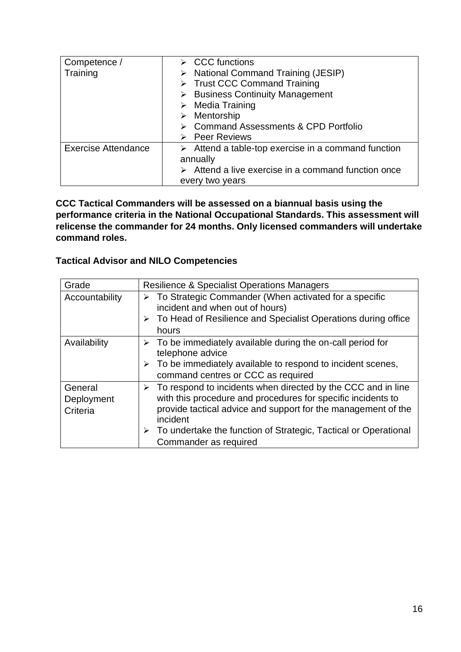| Competence /               | $\triangleright$ CCC functions                                     |
|----------------------------|--------------------------------------------------------------------|
| Training                   | > National Command Training (JESIP)                                |
|                            | $\triangleright$ Trust CCC Command Training                        |
|                            | $\triangleright$ Business Continuity Management                    |
|                            | $\triangleright$ Media Training                                    |
|                            | $\triangleright$ Mentorship                                        |
|                            | ▶ Command Assessments & CPD Portfolio                              |
|                            | $\triangleright$ Peer Reviews                                      |
| <b>Exercise Attendance</b> | $\triangleright$ Attend a table-top exercise in a command function |
|                            | annually                                                           |
|                            | $\triangleright$ Attend a live exercise in a command function once |
|                            | every two years                                                    |

**CCC Tactical Commanders will be assessed on a biannual basis using the performance criteria in the National Occupational Standards. This assessment will relicense the commander for 24 months. Only licensed commanders will undertake command roles.** 

## <span id="page-15-0"></span>**Tactical Advisor and NILO Competencies**

| Grade                             | <b>Resilience &amp; Specialist Operations Managers</b>                                                                                                                                                                                                                                                                                  |
|-----------------------------------|-----------------------------------------------------------------------------------------------------------------------------------------------------------------------------------------------------------------------------------------------------------------------------------------------------------------------------------------|
| Accountability                    | To Strategic Commander (When activated for a specific<br>➤<br>incident and when out of hours)<br>> To Head of Resilience and Specialist Operations during office<br>hours                                                                                                                                                               |
| Availability                      | To be immediately available during the on-call period for<br>➤<br>telephone advice<br>$\triangleright$ To be immediately available to respond to incident scenes,<br>command centres or CCC as required                                                                                                                                 |
| General<br>Deployment<br>Criteria | $\triangleright$ To respond to incidents when directed by the CCC and in line<br>with this procedure and procedures for specific incidents to<br>provide tactical advice and support for the management of the<br>incident<br>$\triangleright$ To undertake the function of Strategic, Tactical or Operational<br>Commander as required |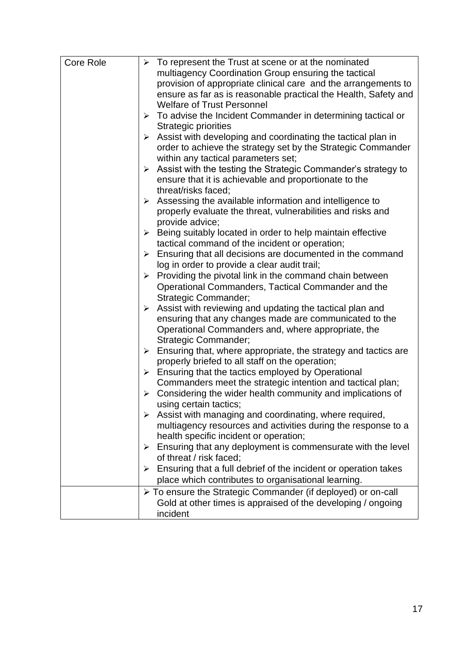| <b>Core Role</b> | $\triangleright$ To represent the Trust at scene or at the nominated                   |
|------------------|----------------------------------------------------------------------------------------|
|                  | multiagency Coordination Group ensuring the tactical                                   |
|                  | provision of appropriate clinical care and the arrangements to                         |
|                  | ensure as far as is reasonable practical the Health, Safety and                        |
|                  | <b>Welfare of Trust Personnel</b>                                                      |
|                  | To advise the Incident Commander in determining tactical or<br>➤                       |
|                  | <b>Strategic priorities</b>                                                            |
|                  | Assist with developing and coordinating the tactical plan in<br>➤                      |
|                  | order to achieve the strategy set by the Strategic Commander                           |
|                  | within any tactical parameters set;                                                    |
|                  | Assist with the testing the Strategic Commander's strategy to<br>$\blacktriangleright$ |
|                  | ensure that it is achievable and proportionate to the                                  |
|                  | threat/risks faced;                                                                    |
|                  | Assessing the available information and intelligence to<br>➤                           |
|                  | properly evaluate the threat, vulnerabilities and risks and                            |
|                  | provide advice;                                                                        |
|                  | Being suitably located in order to help maintain effective<br>➤                        |
|                  | tactical command of the incident or operation;                                         |
|                  | Ensuring that all decisions are documented in the command<br>➤                         |
|                  | log in order to provide a clear audit trail;                                           |
|                  |                                                                                        |
|                  | $\triangleright$ Providing the pivotal link in the command chain between               |
|                  | Operational Commanders, Tactical Commander and the                                     |
|                  | <b>Strategic Commander;</b>                                                            |
|                  | Assist with reviewing and updating the tactical plan and<br>$\blacktriangleright$      |
|                  | ensuring that any changes made are communicated to the                                 |
|                  | Operational Commanders and, where appropriate, the                                     |
|                  | Strategic Commander;                                                                   |
|                  | $\triangleright$ Ensuring that, where appropriate, the strategy and tactics are        |
|                  | properly briefed to all staff on the operation;                                        |
|                  | Ensuring that the tactics employed by Operational<br>$\blacktriangleright$             |
|                  | Commanders meet the strategic intention and tactical plan;                             |
|                  | Considering the wider health community and implications of<br>➤                        |
|                  | using certain tactics;                                                                 |
|                  | Assist with managing and coordinating, where required,<br>➤                            |
|                  | multiagency resources and activities during the response to a                          |
|                  | health specific incident or operation;                                                 |
|                  | Ensuring that any deployment is commensurate with the level<br>➤                       |
|                  | of threat / risk faced;                                                                |
|                  | Ensuring that a full debrief of the incident or operation takes<br>➤                   |
|                  | place which contributes to organisational learning.                                    |
|                  | > To ensure the Strategic Commander (if deployed) or on-call                           |
|                  | Gold at other times is appraised of the developing / ongoing                           |
|                  | incident                                                                               |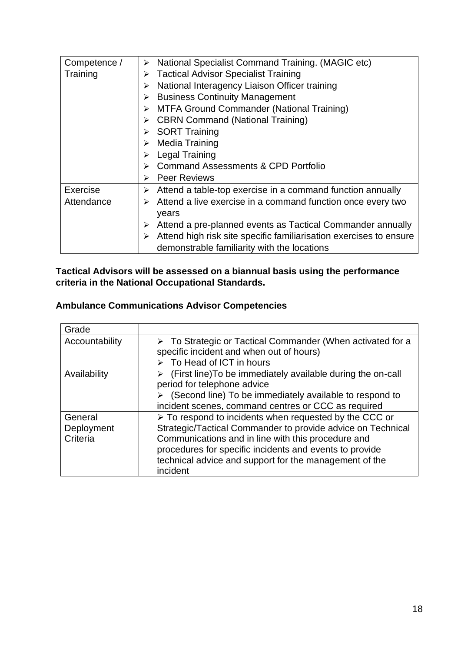| Competence / | National Specialist Command Training. (MAGIC etc)<br>➤                  |
|--------------|-------------------------------------------------------------------------|
| Training     | <b>Tactical Advisor Specialist Training</b><br>➤                        |
|              | National Interagency Liaison Officer training<br>≻                      |
|              | <b>Business Continuity Management</b><br>➤                              |
|              | <b>MTFA Ground Commander (National Training)</b><br>➤                   |
|              | <b>CBRN Command (National Training)</b><br>➤                            |
|              | <b>SORT Training</b><br>➤                                               |
|              | <b>Media Training</b><br>≻                                              |
|              | <b>Legal Training</b><br>⋗                                              |
|              | <b>Command Assessments &amp; CPD Portfolio</b><br>↘                     |
|              | <b>Peer Reviews</b><br>⋗                                                |
| Exercise     | Attend a table-top exercise in a command function annually<br>➤         |
| Attendance   | Attend a live exercise in a command function once every two<br>⋗        |
|              | years                                                                   |
|              | Attend a pre-planned events as Tactical Commander annually<br>➤         |
|              | Attend high risk site specific familiarisation exercises to ensure<br>➤ |
|              | demonstrable familiarity with the locations                             |

## **Tactical Advisors will be assessed on a biannual basis using the performance criteria in the National Occupational Standards.**

# <span id="page-17-0"></span>**Ambulance Communications Advisor Competencies**

| Grade                             |                                                                                                                                                                                                                                                                                                              |
|-----------------------------------|--------------------------------------------------------------------------------------------------------------------------------------------------------------------------------------------------------------------------------------------------------------------------------------------------------------|
| Accountability                    | $\triangleright$ To Strategic or Tactical Commander (When activated for a<br>specific incident and when out of hours)<br>$\triangleright$ To Head of ICT in hours                                                                                                                                            |
| Availability                      | (First line) To be immediately available during the on-call<br>➤<br>period for telephone advice<br>(Second line) To be immediately available to respond to<br>incident scenes, command centres or CCC as required                                                                                            |
| General<br>Deployment<br>Criteria | > To respond to incidents when requested by the CCC or<br>Strategic/Tactical Commander to provide advice on Technical<br>Communications and in line with this procedure and<br>procedures for specific incidents and events to provide<br>technical advice and support for the management of the<br>incident |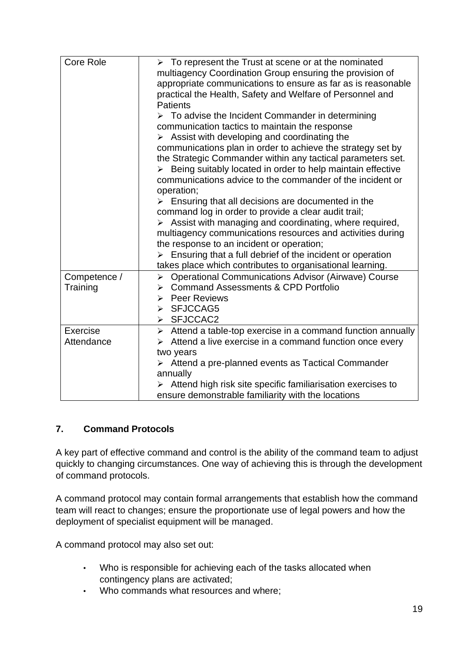| Core Role                | $\triangleright$ To represent the Trust at scene or at the nominated<br>multiagency Coordination Group ensuring the provision of<br>appropriate communications to ensure as far as is reasonable<br>practical the Health, Safety and Welfare of Personnel and<br><b>Patients</b><br>$\triangleright$ To advise the Incident Commander in determining<br>communication tactics to maintain the response<br>$\triangleright$ Assist with developing and coordinating the<br>communications plan in order to achieve the strategy set by<br>the Strategic Commander within any tactical parameters set.<br>> Being suitably located in order to help maintain effective<br>communications advice to the commander of the incident or<br>operation;<br>$\triangleright$ Ensuring that all decisions are documented in the<br>command log in order to provide a clear audit trail;<br>Assist with managing and coordinating, where required,<br>multiagency communications resources and activities during<br>the response to an incident or operation; |
|--------------------------|----------------------------------------------------------------------------------------------------------------------------------------------------------------------------------------------------------------------------------------------------------------------------------------------------------------------------------------------------------------------------------------------------------------------------------------------------------------------------------------------------------------------------------------------------------------------------------------------------------------------------------------------------------------------------------------------------------------------------------------------------------------------------------------------------------------------------------------------------------------------------------------------------------------------------------------------------------------------------------------------------------------------------------------------------|
|                          | $\triangleright$ Ensuring that a full debrief of the incident or operation<br>takes place which contributes to organisational learning.                                                                                                                                                                                                                                                                                                                                                                                                                                                                                                                                                                                                                                                                                                                                                                                                                                                                                                            |
| Competence /<br>Training | <b>Operational Communications Advisor (Airwave) Course</b><br>$\blacktriangleright$<br><b>Command Assessments &amp; CPD Portfolio</b><br>➤<br><b>Peer Reviews</b><br>➤<br>SFJCCAG5<br>⋗<br>> SFJCCAC2                                                                                                                                                                                                                                                                                                                                                                                                                                                                                                                                                                                                                                                                                                                                                                                                                                              |
| Exercise<br>Attendance   | $\triangleright$ Attend a table-top exercise in a command function annually<br>Attend a live exercise in a command function once every<br>two years<br>$\triangleright$ Attend a pre-planned events as Tactical Commander<br>annually<br>Attend high risk site specific familiarisation exercises to<br>ensure demonstrable familiarity with the locations                                                                                                                                                                                                                                                                                                                                                                                                                                                                                                                                                                                                                                                                                         |

## <span id="page-18-0"></span>**7. Command Protocols**

A key part of effective command and control is the ability of the command team to adjust quickly to changing circumstances. One way of achieving this is through the development of command protocols.

A command protocol may contain formal arrangements that establish how the command team will react to changes; ensure the proportionate use of legal powers and how the deployment of specialist equipment will be managed.

A command protocol may also set out:

- Who is responsible for achieving each of the tasks allocated when contingency plans are activated;
- Who commands what resources and where;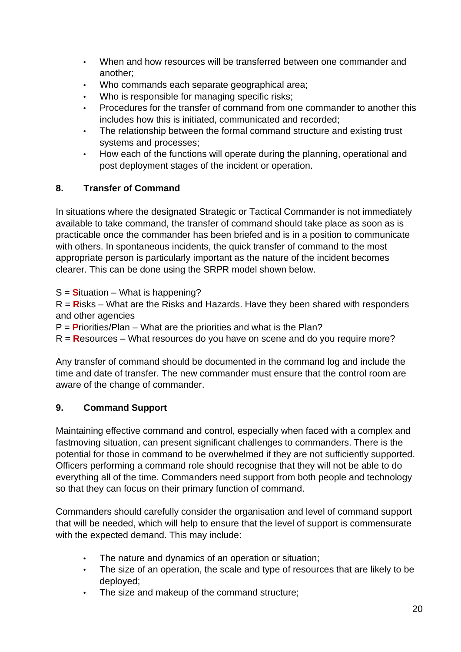- When and how resources will be transferred between one commander and another;
- Who commands each separate geographical area;
- Who is responsible for managing specific risks;
- Procedures for the transfer of command from one commander to another this includes how this is initiated, communicated and recorded;
- The relationship between the formal command structure and existing trust systems and processes;
- How each of the functions will operate during the planning, operational and post deployment stages of the incident or operation.

## <span id="page-19-0"></span>**8. Transfer of Command**

In situations where the designated Strategic or Tactical Commander is not immediately available to take command, the transfer of command should take place as soon as is practicable once the commander has been briefed and is in a position to communicate with others. In spontaneous incidents, the quick transfer of command to the most appropriate person is particularly important as the nature of the incident becomes clearer. This can be done using the SRPR model shown below.

S = **S**ituation – What is happening?

R = **R**isks – What are the Risks and Hazards. Have they been shared with responders and other agencies

P = **P**riorities/Plan – What are the priorities and what is the Plan?

R = **R**esources – What resources do you have on scene and do you require more?

Any transfer of command should be documented in the command log and include the time and date of transfer. The new commander must ensure that the control room are aware of the change of commander.

## <span id="page-19-1"></span>**9. Command Support**

Maintaining effective command and control, especially when faced with a complex and fastmoving situation, can present significant challenges to commanders. There is the potential for those in command to be overwhelmed if they are not sufficiently supported. Officers performing a command role should recognise that they will not be able to do everything all of the time. Commanders need support from both people and technology so that they can focus on their primary function of command.

Commanders should carefully consider the organisation and level of command support that will be needed, which will help to ensure that the level of support is commensurate with the expected demand. This may include:

- The nature and dynamics of an operation or situation;
- The size of an operation, the scale and type of resources that are likely to be deployed;
- The size and makeup of the command structure;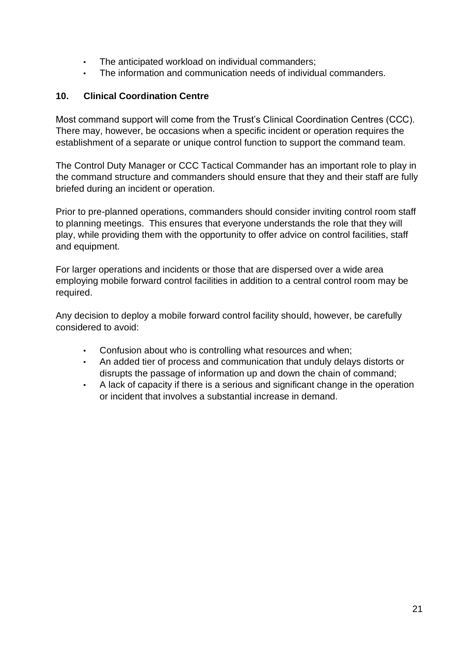- The anticipated workload on individual commanders;
- The information and communication needs of individual commanders.

## <span id="page-20-0"></span>**10. Clinical Coordination Centre**

Most command support will come from the Trust's Clinical Coordination Centres (CCC). There may, however, be occasions when a specific incident or operation requires the establishment of a separate or unique control function to support the command team.

The Control Duty Manager or CCC Tactical Commander has an important role to play in the command structure and commanders should ensure that they and their staff are fully briefed during an incident or operation.

Prior to pre-planned operations, commanders should consider inviting control room staff to planning meetings. This ensures that everyone understands the role that they will play, while providing them with the opportunity to offer advice on control facilities, staff and equipment.

For larger operations and incidents or those that are dispersed over a wide area employing mobile forward control facilities in addition to a central control room may be required.

Any decision to deploy a mobile forward control facility should, however, be carefully considered to avoid:

- Confusion about who is controlling what resources and when;
- An added tier of process and communication that unduly delays distorts or disrupts the passage of information up and down the chain of command;
- A lack of capacity if there is a serious and significant change in the operation or incident that involves a substantial increase in demand.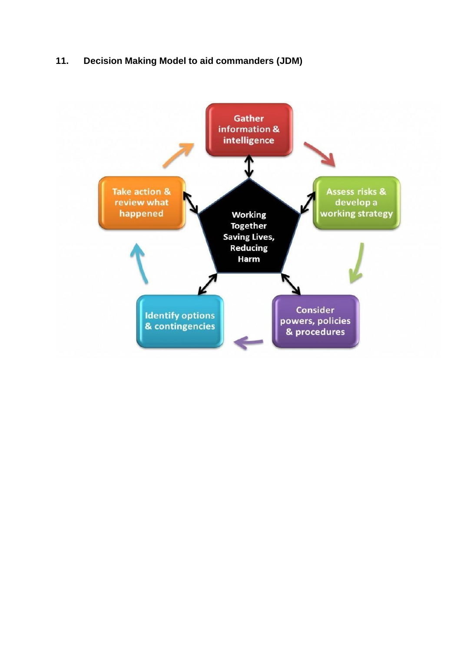## <span id="page-21-0"></span>**11. Decision Making Model to aid commanders (JDM)**

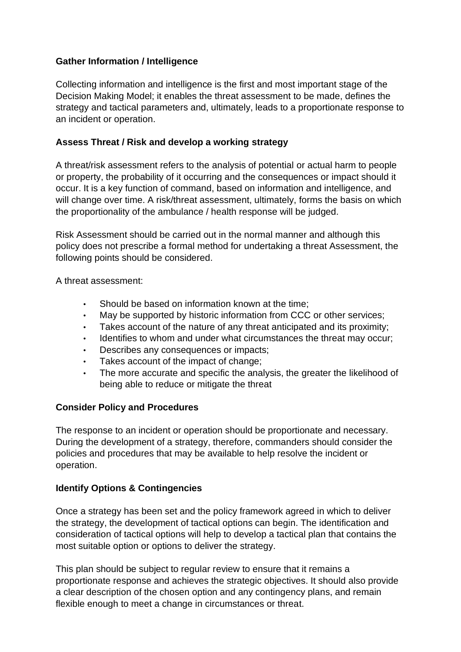## **Gather Information / Intelligence**

Collecting information and intelligence is the first and most important stage of the Decision Making Model; it enables the threat assessment to be made, defines the strategy and tactical parameters and, ultimately, leads to a proportionate response to an incident or operation.

## **Assess Threat / Risk and develop a working strategy**

A threat/risk assessment refers to the analysis of potential or actual harm to people or property, the probability of it occurring and the consequences or impact should it occur. It is a key function of command, based on information and intelligence, and will change over time. A risk/threat assessment, ultimately, forms the basis on which the proportionality of the ambulance / health response will be judged.

Risk Assessment should be carried out in the normal manner and although this policy does not prescribe a formal method for undertaking a threat Assessment, the following points should be considered.

A threat assessment:

- Should be based on information known at the time:
- May be supported by historic information from CCC or other services;
- Takes account of the nature of any threat anticipated and its proximity;
- Identifies to whom and under what circumstances the threat may occur:
- Describes any consequences or impacts;
- Takes account of the impact of change;
- The more accurate and specific the analysis, the greater the likelihood of being able to reduce or mitigate the threat

#### **Consider Policy and Procedures**

The response to an incident or operation should be proportionate and necessary. During the development of a strategy, therefore, commanders should consider the policies and procedures that may be available to help resolve the incident or operation.

## **Identify Options & Contingencies**

Once a strategy has been set and the policy framework agreed in which to deliver the strategy, the development of tactical options can begin. The identification and consideration of tactical options will help to develop a tactical plan that contains the most suitable option or options to deliver the strategy.

This plan should be subject to regular review to ensure that it remains a proportionate response and achieves the strategic objectives. It should also provide a clear description of the chosen option and any contingency plans, and remain flexible enough to meet a change in circumstances or threat.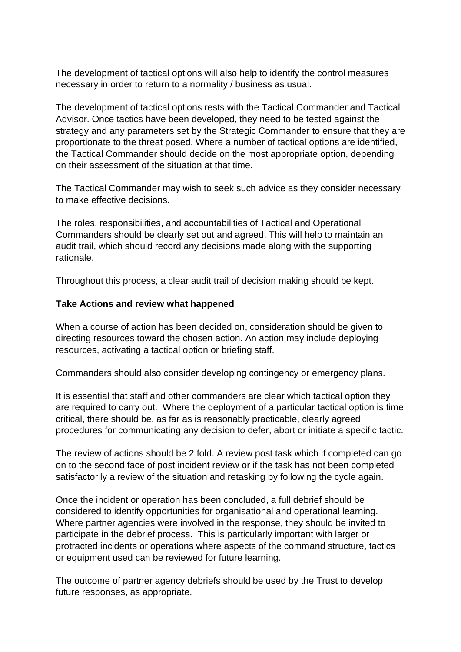The development of tactical options will also help to identify the control measures necessary in order to return to a normality / business as usual.

The development of tactical options rests with the Tactical Commander and Tactical Advisor. Once tactics have been developed, they need to be tested against the strategy and any parameters set by the Strategic Commander to ensure that they are proportionate to the threat posed. Where a number of tactical options are identified, the Tactical Commander should decide on the most appropriate option, depending on their assessment of the situation at that time.

The Tactical Commander may wish to seek such advice as they consider necessary to make effective decisions.

The roles, responsibilities, and accountabilities of Tactical and Operational Commanders should be clearly set out and agreed. This will help to maintain an audit trail, which should record any decisions made along with the supporting rationale.

Throughout this process, a clear audit trail of decision making should be kept.

#### **Take Actions and review what happened**

When a course of action has been decided on, consideration should be given to directing resources toward the chosen action. An action may include deploying resources, activating a tactical option or briefing staff.

Commanders should also consider developing contingency or emergency plans.

It is essential that staff and other commanders are clear which tactical option they are required to carry out. Where the deployment of a particular tactical option is time critical, there should be, as far as is reasonably practicable, clearly agreed procedures for communicating any decision to defer, abort or initiate a specific tactic.

The review of actions should be 2 fold. A review post task which if completed can go on to the second face of post incident review or if the task has not been completed satisfactorily a review of the situation and retasking by following the cycle again.

Once the incident or operation has been concluded, a full debrief should be considered to identify opportunities for organisational and operational learning. Where partner agencies were involved in the response, they should be invited to participate in the debrief process. This is particularly important with larger or protracted incidents or operations where aspects of the command structure, tactics or equipment used can be reviewed for future learning.

The outcome of partner agency debriefs should be used by the Trust to develop future responses, as appropriate.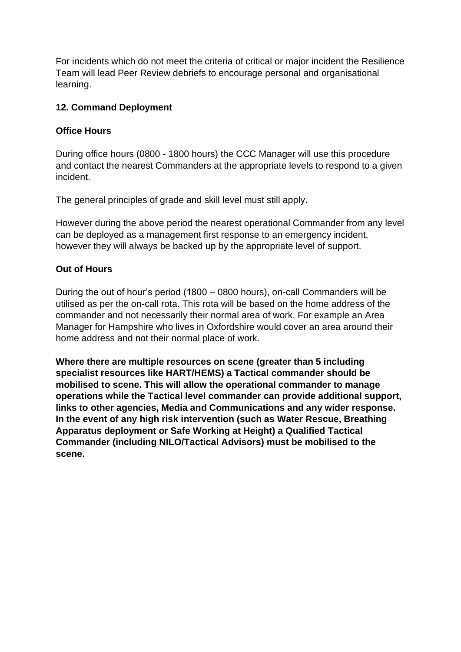For incidents which do not meet the criteria of critical or major incident the Resilience Team will lead Peer Review debriefs to encourage personal and organisational learning.

#### <span id="page-24-0"></span>**12. Command Deployment**

#### **Office Hours**

During office hours (0800 - 1800 hours) the CCC Manager will use this procedure and contact the nearest Commanders at the appropriate levels to respond to a given incident.

The general principles of grade and skill level must still apply.

However during the above period the nearest operational Commander from any level can be deployed as a management first response to an emergency incident, however they will always be backed up by the appropriate level of support.

## **Out of Hours**

During the out of hour's period (1800 – 0800 hours), on-call Commanders will be utilised as per the on-call rota. This rota will be based on the home address of the commander and not necessarily their normal area of work. For example an Area Manager for Hampshire who lives in Oxfordshire would cover an area around their home address and not their normal place of work.

**Where there are multiple resources on scene (greater than 5 including specialist resources like HART/HEMS) a Tactical commander should be mobilised to scene. This will allow the operational commander to manage operations while the Tactical level commander can provide additional support, links to other agencies, Media and Communications and any wider response. In the event of any high risk intervention (such as Water Rescue, Breathing Apparatus deployment or Safe Working at Height) a Qualified Tactical Commander (including NILO/Tactical Advisors) must be mobilised to the scene.**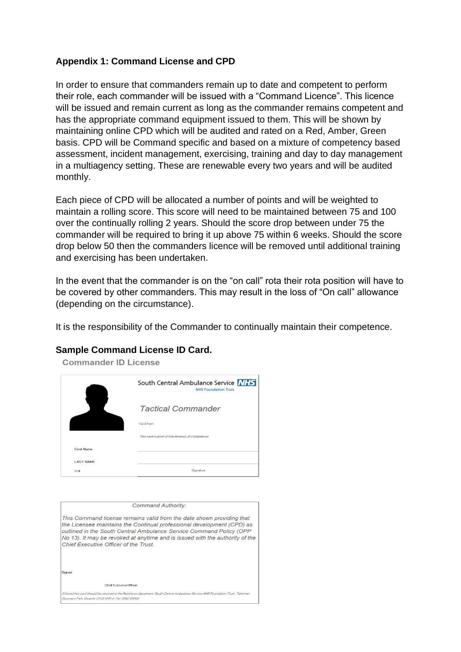#### <span id="page-25-0"></span>**Appendix 1: Command License and CPD**

In order to ensure that commanders remain up to date and competent to perform their role, each commander will be issued with a "Command Licence". This licence will be issued and remain current as long as the commander remains competent and has the appropriate command equipment issued to them. This will be shown by maintaining online CPD which will be audited and rated on a Red, Amber, Green basis. CPD will be Command specific and based on a mixture of competency based assessment, incident management, exercising, training and day to day management in a multiagency setting. These are renewable every two years and will be audited monthly.

Each piece of CPD will be allocated a number of points and will be weighted to maintain a rolling score. This score will need to be maintained between 75 and 100 over the continually rolling 2 years. Should the score drop between under 75 the commander will be required to bring it up above 75 within 6 weeks. Should the score drop below 50 then the commanders licence will be removed until additional training and exercising has been undertaken.

In the event that the commander is on the "on call" rota their rota position will have to be covered by other commanders. This may result in the loss of "On call" allowance (depending on the circumstance).

It is the responsibility of the Commander to continually maintain their competence.

#### **Sample Command License ID Card.**

|                   | South Central Ambulance Service NHS<br><b>NHS Foundation Trust</b> |
|-------------------|--------------------------------------------------------------------|
|                   | <b>Tactical Commander</b>                                          |
|                   | Valid from:                                                        |
|                   | This card is proof of Maintenancy of Competence                    |
| <b>First Name</b> |                                                                    |
| <b>LAST NAME</b>  |                                                                    |
| ID#               | Signature                                                          |

|                                                       | Command Authority:                                                                                                                                                                                                                                                                                     |
|-------------------------------------------------------|--------------------------------------------------------------------------------------------------------------------------------------------------------------------------------------------------------------------------------------------------------------------------------------------------------|
| Chief Executive Officer of the Trust.                 | This Command license remains valid from the date shown providing that<br>the Licensee maintains the Continual professional development (CPD) as<br>outlined in the South Central Ambulance Service Command Policy (OPP<br>No 13). It may be revoked at anytime and is issued with the authority of the |
| Signed                                                |                                                                                                                                                                                                                                                                                                        |
| Chief Executive Officer                               |                                                                                                                                                                                                                                                                                                        |
| Business Park, Bicester DX26 6HR or Tal: 01962 898120 | If found this card should be returned to the Flesilience depatment, South Central Ambulance Service NHS Foundation Trust, Tallisman                                                                                                                                                                    |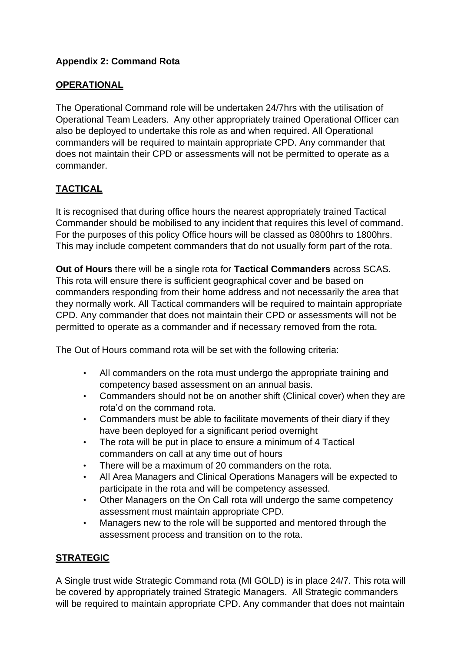## <span id="page-26-0"></span>**Appendix 2: Command Rota**

## **OPERATIONAL**

The Operational Command role will be undertaken 24/7hrs with the utilisation of Operational Team Leaders. Any other appropriately trained Operational Officer can also be deployed to undertake this role as and when required. All Operational commanders will be required to maintain appropriate CPD. Any commander that does not maintain their CPD or assessments will not be permitted to operate as a commander.

# **TACTICAL**

It is recognised that during office hours the nearest appropriately trained Tactical Commander should be mobilised to any incident that requires this level of command. For the purposes of this policy Office hours will be classed as 0800hrs to 1800hrs. This may include competent commanders that do not usually form part of the rota.

**Out of Hours** there will be a single rota for **Tactical Commanders** across SCAS. This rota will ensure there is sufficient geographical cover and be based on commanders responding from their home address and not necessarily the area that they normally work. All Tactical commanders will be required to maintain appropriate CPD. Any commander that does not maintain their CPD or assessments will not be permitted to operate as a commander and if necessary removed from the rota.

The Out of Hours command rota will be set with the following criteria:

- All commanders on the rota must undergo the appropriate training and competency based assessment on an annual basis.
- Commanders should not be on another shift (Clinical cover) when they are rota'd on the command rota.
- Commanders must be able to facilitate movements of their diary if they have been deployed for a significant period overnight
- The rota will be put in place to ensure a minimum of 4 Tactical commanders on call at any time out of hours
- There will be a maximum of 20 commanders on the rota.
- All Area Managers and Clinical Operations Managers will be expected to participate in the rota and will be competency assessed.
- Other Managers on the On Call rota will undergo the same competency assessment must maintain appropriate CPD.
- Managers new to the role will be supported and mentored through the assessment process and transition on to the rota.

## **STRATEGIC**

A Single trust wide Strategic Command rota (MI GOLD) is in place 24/7. This rota will be covered by appropriately trained Strategic Managers. All Strategic commanders will be required to maintain appropriate CPD. Any commander that does not maintain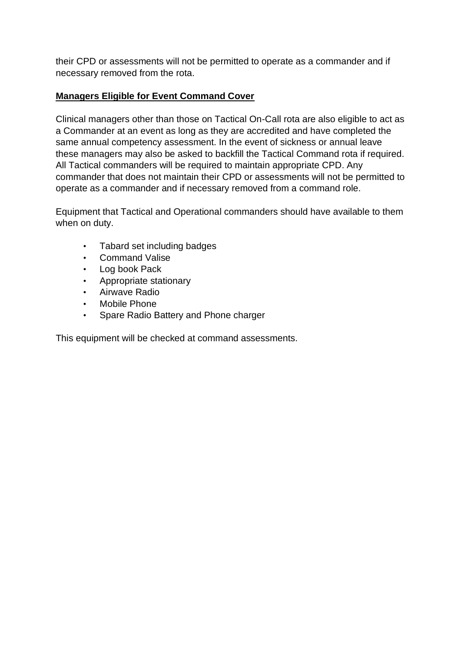their CPD or assessments will not be permitted to operate as a commander and if necessary removed from the rota.

## **Managers Eligible for Event Command Cover**

Clinical managers other than those on Tactical On-Call rota are also eligible to act as a Commander at an event as long as they are accredited and have completed the same annual competency assessment. In the event of sickness or annual leave these managers may also be asked to backfill the Tactical Command rota if required. All Tactical commanders will be required to maintain appropriate CPD. Any commander that does not maintain their CPD or assessments will not be permitted to operate as a commander and if necessary removed from a command role.

Equipment that Tactical and Operational commanders should have available to them when on duty.

- Tabard set including badges
- Command Valise
- Log book Pack
- Appropriate stationary
- Airwave Radio
- Mobile Phone
- Spare Radio Battery and Phone charger

This equipment will be checked at command assessments.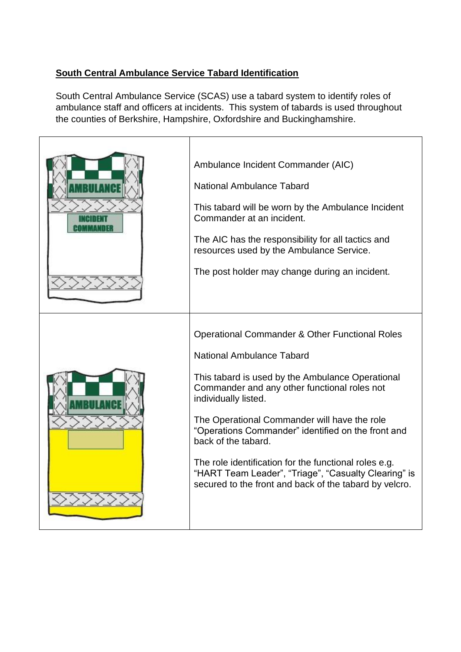## **South Central Ambulance Service Tabard Identification**

South Central Ambulance Service (SCAS) use a tabard system to identify roles of ambulance staff and officers at incidents. This system of tabards is used throughout the counties of Berkshire, Hampshire, Oxfordshire and Buckinghamshire.

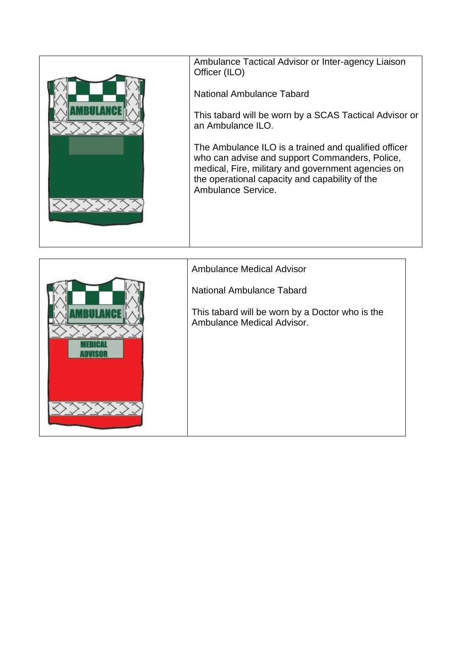| Ambulance Tactical Advisor or Inter-agency Liaison<br>Officer (ILO)                                                                                                                                                                  |
|--------------------------------------------------------------------------------------------------------------------------------------------------------------------------------------------------------------------------------------|
| National Ambulance Tabard                                                                                                                                                                                                            |
| This tabard will be worn by a SCAS Tactical Advisor or<br>an Ambulance ILO.                                                                                                                                                          |
| The Ambulance ILO is a trained and qualified officer<br>who can advise and support Commanders, Police,<br>medical, Fire, military and government agencies on<br>the operational capacity and capability of the<br>Ambulance Service. |

| <b>Ambulance Medical Advisor</b>                                              |
|-------------------------------------------------------------------------------|
| National Ambulance Tabard                                                     |
| This tabard will be worn by a Doctor who is the<br>Ambulance Medical Advisor. |
|                                                                               |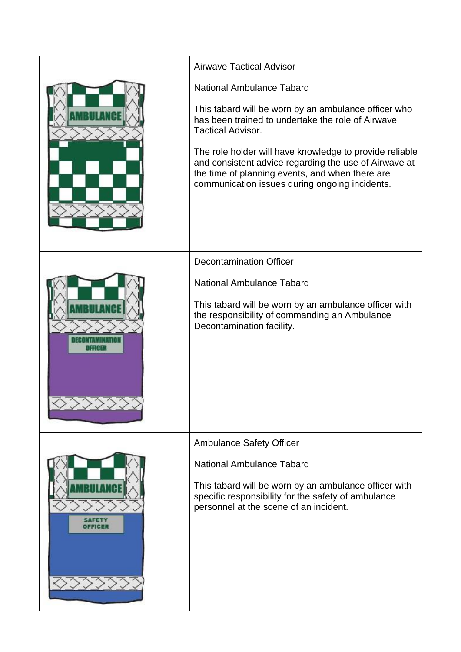|        | <b>Airwave Tactical Advisor</b>                                                                                                                                                                                       |
|--------|-----------------------------------------------------------------------------------------------------------------------------------------------------------------------------------------------------------------------|
|        | <b>National Ambulance Tabard</b>                                                                                                                                                                                      |
|        | This tabard will be worn by an ambulance officer who<br>has been trained to undertake the role of Airwave<br><b>Tactical Advisor.</b>                                                                                 |
|        | The role holder will have knowledge to provide reliable<br>and consistent advice regarding the use of Airwave at<br>the time of planning events, and when there are<br>communication issues during ongoing incidents. |
|        | <b>Decontamination Officer</b>                                                                                                                                                                                        |
|        | <b>National Ambulance Tabard</b>                                                                                                                                                                                      |
| 111181 | This tabard will be worn by an ambulance officer with<br>the responsibility of commanding an Ambulance<br>Decontamination facility.                                                                                   |
|        | <b>Ambulance Safety Officer</b>                                                                                                                                                                                       |
|        | <b>National Ambulance Tabard</b>                                                                                                                                                                                      |
| 이글리더크  | This tabard will be worn by an ambulance officer with<br>specific responsibility for the safety of ambulance<br>personnel at the scene of an incident.                                                                |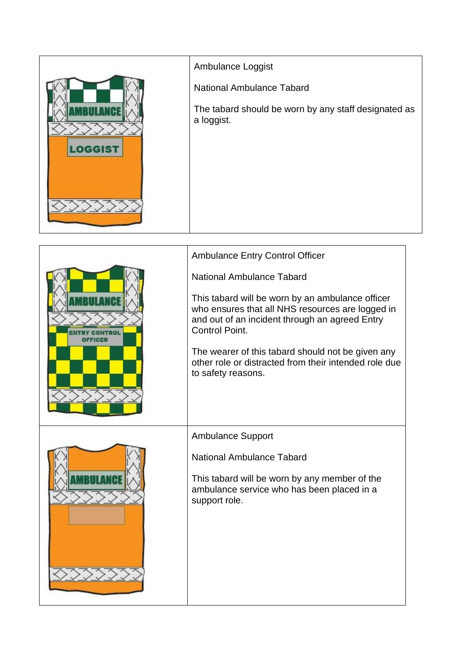![](_page_31_Figure_0.jpeg)

| <b>Ambulance Entry Control Officer</b>                                                                                                                                          |
|---------------------------------------------------------------------------------------------------------------------------------------------------------------------------------|
| National Ambulance Tabard                                                                                                                                                       |
| This tabard will be worn by an ambulance officer<br>who ensures that all NHS resources are logged in<br>and out of an incident through an agreed Entry<br><b>Control Point.</b> |
| The wearer of this tabard should not be given any<br>other role or distracted from their intended role due<br>to safety reasons.                                                |
| <b>Ambulance Support</b>                                                                                                                                                        |
|                                                                                                                                                                                 |
| <b>National Ambulance Tabard</b>                                                                                                                                                |
| This tabard will be worn by any member of the<br>ambulance service who has been placed in a<br>support role.                                                                    |